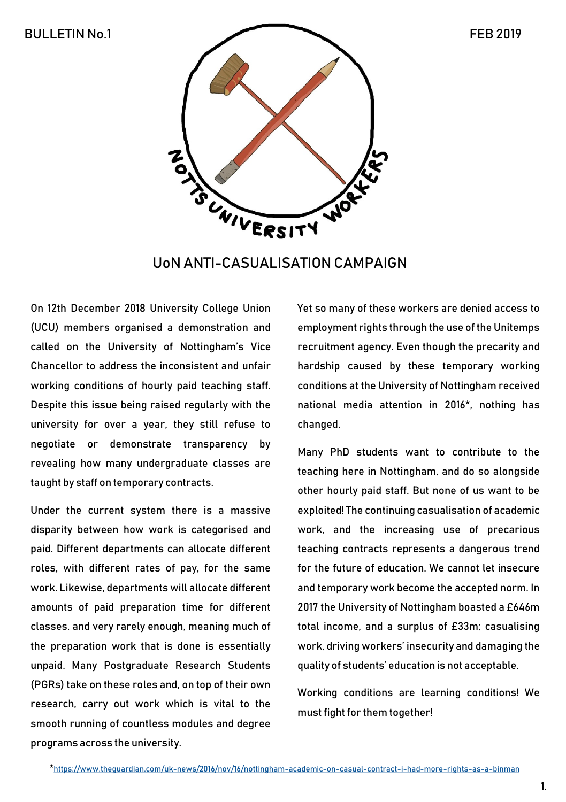

UoN ANTI-CASUALISATION CAMPAIGN

On 12th December 2018 University College Union (UCU) members organised a demonstration and called on the University of Nottingham's Vice Chancellor to address the inconsistent and unfair working conditions of hourly paid teaching staff. Despite this issue being raised regularly with the university for over a year, they still refuse to negotiate or demonstrate transparency by revealing how many undergraduate classes are taught by staff on temporary contracts.

Under the current system there is a massive disparity between how work is categorised and paid. Different departments can allocate different roles, with different rates of pay, for the same work. Likewise, departments will allocate different amounts of paid preparation time for different classes, and very rarely enough, meaning much of the preparation work that is done is essentially unpaid. Many Postgraduate Research Students (PGRs) take on these roles and, on top of their own research, carry out work which is vital to the smooth running of countless modules and degree programs across the university.

Yet so many of these workers are denied access to employment rights through the use of the Unitemps recruitment agency. Even though the precarity and hardship caused by these temporary working conditions at the University of Nottingham received national media attention in 2016\*, nothing has changed.

Many PhD students want to contribute to the teaching here in Nottingham, and do so alongside other hourly paid staff. But none of us want to be exploited! The continuing casualisation of academic work, and the increasing use of precarious teaching contracts represents a dangerous trend for the future of education. We cannot let insecure and temporary work become the accepted norm. In 2017 the University of Nottingham boasted a £646m total income, and a surplus of £33m; casualising work, driving workers' insecurity and damaging the quality of students' education is not acceptable.

Working conditions are learning conditions! We must fight for them together!